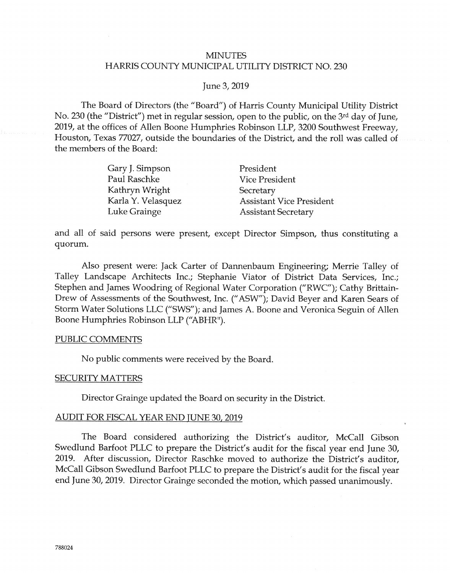# **MINUTES** HARRIS COUNTY MUNICIPAL UTILITY DISTRICT NO. 230

# June 3, 2019

The Board of Directors (the "Board") of Harris County Municipal Utility District No. 230 (the "District") met in regular session, open to the public, on the 3rd day of June, 2019, at the offices of Allen Boone Humphries Robinson LLP, 3200 Southwest Freeway, Houston, Texas 77027, outside the boundaries of the District, and the roll was called of the members of the Board:

| Gary J. Simpson    | President                       |
|--------------------|---------------------------------|
| Paul Raschke       | <b>Vice President</b>           |
| Kathryn Wright     | Secretary                       |
| Karla Y. Velasquez | <b>Assistant Vice President</b> |
| Luke Grainge       | <b>Assistant Secretary</b>      |

and all of said persons were present, except Director Simpson, thus constituting a quorum.

Also present were: Jack Carter of Dannenbaum Engineering; Merrie Talley of Talley Landscape Architects Inc.; Stephanie Viator of District Data Services, Inc.; Stephen and James Woodring of Regional Water Corporation ("RWC"); Cathy Brittain-Drew of Assessments of the Southwest, Inc. ("ASW"); David Beyer and Karen Sears of Storm Water Solutions LLC ("SWS"); and James A. Boone and Veronica Seguin of Allen Boone Humphries Robinson LLP ("ABHR").

## PUBLIC COMMENTS

No public comments were received by the Board.

#### **SECURITY MATTERS**

Director Grainge updated the Board on security in the District.

#### **AUDIT FOR FISCAL YEAR END JUNE 30, 2019**

The Board considered authorizing the District's auditor, McCall Gibson Swedlund Barfoot PLLC to prepare the District's audit for the fiscal year end June 30, 2019. After discussion, Director Raschke moved to authorize the District's auditor, McCall Gibson Swedlund Barfoot PLLC to prepare the District's audit for the fiscal year end June 30, 2019. Director Grainge seconded the motion, which passed unanimously.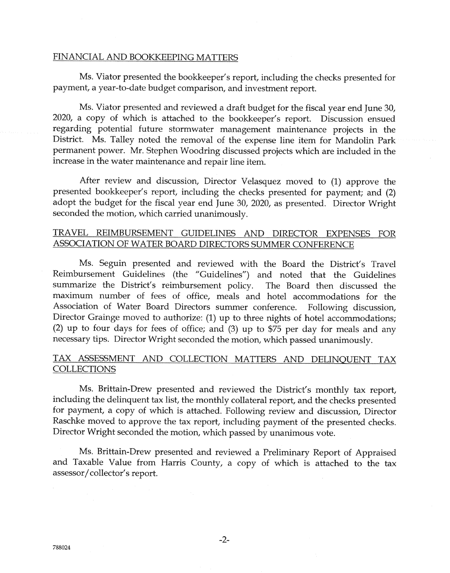# FINANCIAL AND BOOKKEEPING MATTERS

Ms. Viator presented the bookkeeper's report, including the checks presented for payment, a year-to-date budget comparison, and investment report.

Ms. Viator presented and reviewed a draft budget for the fiscal year end June 30, 2020, a copy of which is attached to the bookkeeper's report. Discussion ensued regarding potential future stormwater management maintenance projects in the District. Ms. Talley noted the removal of the expense line item for Mandolin Park permanent power. Mr. Stephen Woodring discussed projects which are included in the increase in the water maintenance and repair line item.

After review and discussion, Director Velasquez moved to (1) approve the presented bookkeeper's report, including the checks presented for payment; and (2) adopt the budget for the fiscal year end June 30, 2020, as presented. Director Wright seconded the motion, which carried unanimously.

# TRAVEL REIMBURSEMENT GUIDELINES AND DIRECTOR EXPENSES FOR ASSOCIATION OF WATER BOARD DIRECTORS SUMMER CONFERENCE

Ms. Seguin presented and reviewed with the Board the District's Travel Reimbursement Guidelines (the "Guidelines") and noted that the Guidelines summarize the District's reimbursement policy. The Board then discussed the maximum number of fees of office, meals and hotel accommodations for the Association of Water Board Directors summer conference. Following discussion, Director Grainge moved to authorize: (1) up to three nights of hotel accommodations; (2) up to four days for fees of office; and (3) up to \$75 per day for meals and any necessary tips. Director Wright seconded the motion, which passed unanimously.

# TAX ASSESSMENT AND COLLECTION MATTERS AND DELINQUENT TAX **COLLECTIONS**

Ms. Brittain-Drew presented and reviewed the District's monthly tax report, including the delinquent tax list, the monthly collateral report, and the checks presented for payment, a copy of which is attached. Following review and discussion, Director Raschke moved to approve the tax report, including payment of the presented checks. Director Wright seconded the motion, which passed by unanimous vote.

Ms. Brittain-Drew presented and reviewed a Preliminary Report of Appraised and Taxable Value from Harris County, a copy of which is attached to the tax assessor/collector's report.

 $-2-$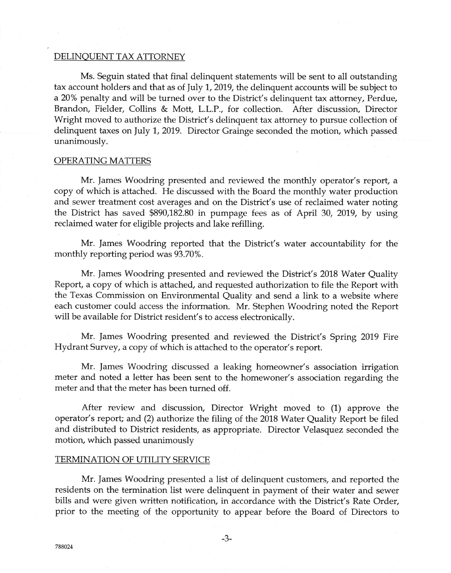## DELINQUENT TAX ATTORNEY

Ms. Seguin stated that final delinquent statements will be sent to all outstanding tax account holders and that as of July 1, 2019, the delinquent accounts will be subject to a 20% penalty and will be turned over to the District's delinquent tax attorney, Perdue, Brandon, Fielder, Collins & Mott, L.L.P., for collection. After discussion, Director Wright moved to authorize the District's delinquent tax attorney to pursue collection of delinquent taxes on July 1, 2019. Director Grainge seconded the motion, which passed unanimously.

#### **OPERATING MATTERS**

Mr. James Woodring presented and reviewed the monthly operator's report, a copy o{ which is attached. He discussed with the Board the monthly water production and sewer treatment cost averages and on the District's use of reclaimed water noting the District has saved \$890,182.80 in pumpage fees as of April 30, 2Q19, by using reclaimed water for eligibie projects and lake refilling.

Mr. James Woodring reported that the District's water accountability for the monthly reporting period was 93.70%.

Mr. James Woodring presented and reviewed the District's 2018 Water Quality Report, a copy o{ which is attached, and requested authorization to file the Report with the Texas Commission on Environmental Quality and send a link to a website where each customer could access the information. Mr. Stephen Woodring noted the Report will be available for District resident's to access electronically.

Mr. James Woodring presented and reviewed the District's Spring 2019 Fire Hydrant Survey, a copy of whirh is attached to the operator's report.

Mr. James Woodring discussed a leaking homeowner's association irrigation meter and noted a letter has been sent to the homewoner's association regarding the meter and that the meter has been turned off.

After review and discussion, Director Wright moved to (1) approve the operator's report; and (2) authorize the filing of the 2018 Water Quality Report be filed and distributed to District residents, as appropriate. Director Velasquez seconded the motion, which passed unanimously

## TERMINATION OF UTILITY SERVICE

Mr. james Woodring presented a list of delinquent customers, and reported the residents on the termination list were delinquent in payment of their water and sewer bills and were given written notification, in accordance with the District's Rate Order, prior to the meeting of the opportunity to appear before the Board of Directors to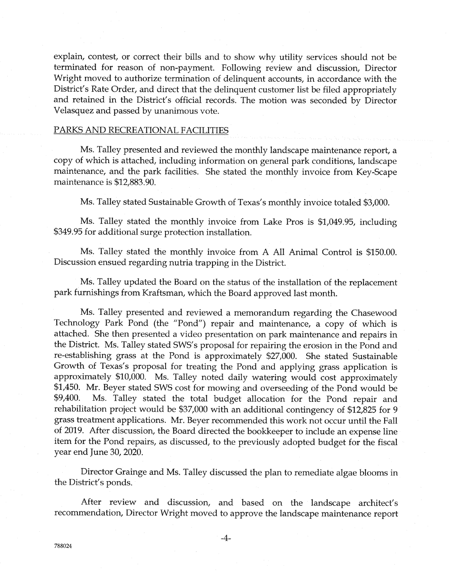explain, contest, or correct their bills and to show why utility services should not be terminated for reason o{ non-payment. Follawing review and discussion, Director Wright moved to authorize termination of delinquent accounts, in accordance with the District's Rate Order, and direct that the delinquent customer list be filed appropriately and retained in the District's of{iciai records. The motion was seconded by Director Velasquez and passed by unanimous vote.

#### PARKS AND RECREATIONAL FACILITIES

Ms. Talley presented and reviewed the monthly landscape maintenance report, a copy af which is attached, including infcrmation on general park conditions, landscape maintenance, and the park facilities. She stated the monthly invoice from Key-Scape maintenance is \$12,883.90.

Ms. Talley stated Sustainable Growth of Texas's monthly invoice totaled \$3,000.

Ms. Talley stated the monthly invoice from Lake Pros is \$1,049.95, including \$349.95 for additional surge protection installation.

Ms. Talley stated the monthly invoice from A All Animal Control is \$150.00. Discussion ensued regarding nutria trapping in the District.

Ms. Talley updated the Board on the status of the installation of the replacement park furnishings from Kraftsman, which the Board approved last month.

Ms. Talley presented and reviewed a memorandum regarding the Chasewood Technology Park Pond (the "Pond") repair and maintenance, a copy of which is attached. She then presented a video presentation on park maintenance and repairs in the District. Ms. Talley stated SWS's proposal for repairing the erosion in the Pond and re-establishing grass at the Pond is approximately \$27,000. She stated Sustainable Growth of Texas's proposal for treating the Pond and applying grass application is approximately \$10,000. Ms. Talley noted daily watering would cost approximately \$1,450. Mr. Beyer stated SWS cost for mowing and overseeding of the Pond would be \$9,400. Ms. Talley stated the total budget allocation for the Pond repair and rehabilitation project would be  $$37,000$  with an additional contingency of  $$12,825$  for 9 grass treatment applications. Mr. Beyer recommended this work not occur until the Fall of 2019. After discussion, the Board directed the bookkeeper to include an expense line item for the Pond repairs, as discussed, to the previously adopted budget for the fiscal year end June  $30$ ,  $2020$ .

Director Grainge and Ms. Talley discussed the plan to remediate algae blooms in the District's ponds.

After review and discussion, and based on the landscape architect's recommendation, Director Wright moved to approve the landscape maintenance report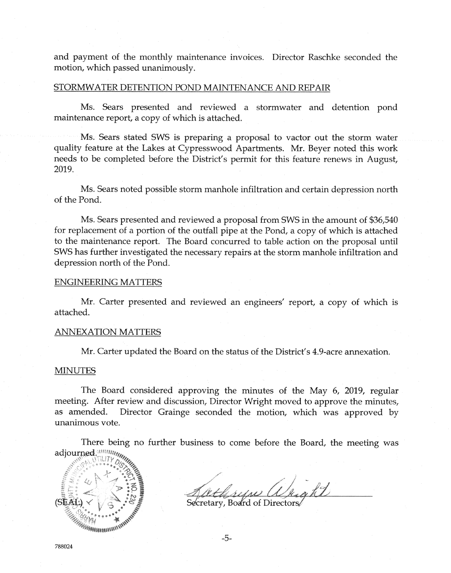and payrnent of the monthly maintenance invoices. Director Raschke seconded the motion, which passed unanimously.

### STORMWATER DETENTION POND MAINTENANCE AND REPAIR

Ms. Sears presented and reviewed a stormwater and detention pond maintenance report, a copy of which is attached.

Ms. Sears stated SWS is preparing a proposal to vactor out the storm water quality feature at the Lakes at Cypresswood Apartments. Mr. Beyer noted this work needs to be completed before the District's permit for this feature renews in August, 2019.

Ms. Sears noted possible storm manhole infiltration and certain depression north of the Fond.

Ms. Sears presented and reviewed a proposal from SWS in the amount of \$36,540 for replacement of a portion of the outfall pipe at the Pond, a copy of which is attached to the maintenance report. The Board concurred to table action on the proposal until SWS has further investigated the necessary repairs at the storm manhole infiltration and depression north of the Pond.

#### **ENGINEERING MATTERS**

Mr. Carter presented and reviewed an engineers' report, a copy of which is attached.

#### ANNEXATION MATTERS

Mr. Carter updated the Board on the status of the District's 4.9-acre annexation.

#### **MINUTES**

The Board considered approving the minutes of the May 6, 2019, regular meeting. After review and discussion, Director Wright moved to approve the minutes, as amended. Director Grainge seconded the motion, which was approved by unanimous vote.

There being no further business to come before the Board, the meeting was adjourned. William



Secretary, Board of Directors